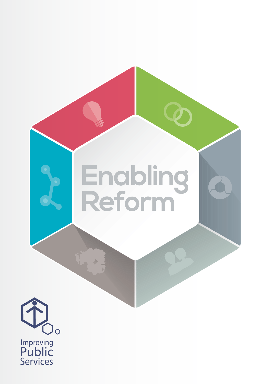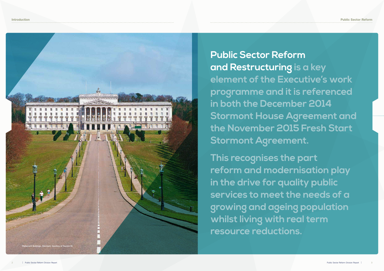Introduction Public Sector Reform

**Public Sector Reform and Restructuring is a key element of the Executive's work programme and it is referenced in both the December 2014 Stormont House Agreement and the November 2015 Fresh Start Stormont Agreement.** 

**This recognises the part reform and modernisation play in the drive for quality public services to meet the needs of a growing and ageing population whilst living with real term resource reductions.**

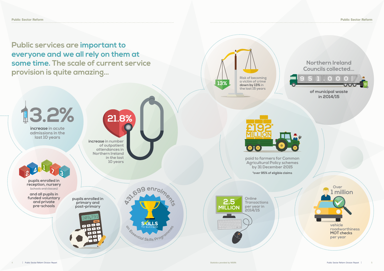$\odot$   $\odot$   $\odot$ 

**Public services are important to everyone and we all rely on them at some time. The scale of current service provision is quite amazing…**



### **of municipal waste in 2014/15**



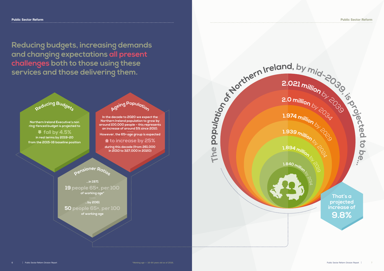Public Sector Reform Public Sector Reform



**t o be… 2.021 million** by 2030 **2.0 million**<br>
1.974 million by 2037<br>
1.939 million **1.939 million 1.894 million** by 2019 **1.840 million That's a projected increase of 9.8%**

**Reducing budgets, increasing demands and changing expectations all present challenges both to those using these services and those delivering them.** 

**<sup>P</sup>ensione<sup>r</sup> <sup>R</sup>atio<sup>s</sup>**

**<sup>R</sup>educin<sup>g</sup> <sup>B</sup>udget<sup>s</sup>**

**<sup>A</sup>gein<sup>g</sup> <sup>P</sup><sup>o</sup>pulatio<sup>n</sup>**

**Northern Ireland Executive's non ring-fenced budget is projected to** 

 **fall by 4.5% in real terms by 2019-20 from the 2015-16 baseline position**

**In the decade to 2020 we expect the Northern Ireland population to grow by around 100,000 people – this represents an increase of around 5% since 2010.** 

**However, the 65+ age group is expected** 

 **to increase by 25%** 

**during this decade (from 261,000 in 2010 to 327,000 in 2020)**

**…in 1971 19 people 65+, per 100 of working age\***

**…by 2061**

**50 people 65+, per 100 of working age**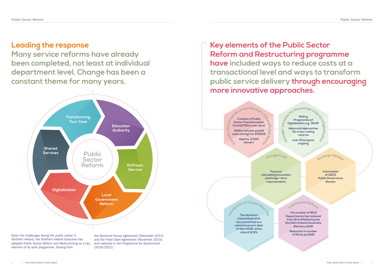### **Leading the response**

**Many service reforms have already been completed, not least at individual department level. Change has been a constant theme for many years.**



**Key elements of the Public Sector Reform and Restructuring programme have included ways to reduce costs at a transactional level and ways to transform public service delivery through encouraging more innovative approaches.** 



Northern Ireland, the Northern Ireland Executive has adopted Public Sector Reform and Restructuring as a key element of its work programme, flowing from

and the Fresh Start Agreement (November 2015), and captured in the Programme for Government (2016-2021).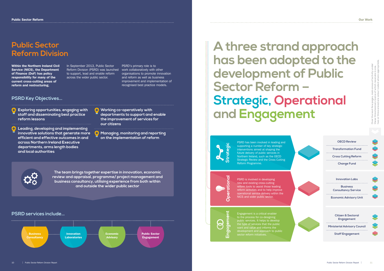**Innovation Labs Business Consultancy Service**

**Economic Advisory Unit**

**Citizen & Sectoral Engagement**

**Ministerial Advisory Council**

**Staff Engagement**

**OECD Review Transformation Fund Cross Cutting Reform**

**Change Fund**

PSRD has been involved in leading and supporting a number of key strategic interventions aimed at shaping the future delivery of public services in Northern Ireland, such as the OECD Strategic Review and the Cross Cutting Reform Programme.



PSRD is involved in developing new and existing cross-cutting reform tools to assist those leading reform activities and to help improve operational service delivery within the NICS and wider public sector.



Engagement is a critical enabler to the process for co-designing public services. It helps to develop the type of services that the public development and approach to public



### **Public Sector Reform Division**

Within the Northern Ireland Civil Service (NICS), the Department of Finance (DoF) has policy responsibility for many of the current cross-cutting areas of reform and restructuring.

### **PSRD services include…**

In September 2013, Public Sector Reform Division (PSRD) was launched to support, lead and enable reform across the wider public sector.

PSRD's primary role is to work collaboratively with other organisations to promote innovation and reform as well as business improvement and implementation of recognised best practice models.

# **A three strand approach has been adopted to the development of Public Sector Reform – Strategic, Operational and Engagement**



### **PSRD Key Objectives…**

- **Exploring opportunities, engaging with staff and disseminating best practice reform lessons**
- **Leading, developing and implementing**  8 **innovative solutions that generate more efficient and effective outcomes in and across Northern Ireland Executive departments, arms length bodies and local authorities**
- **Working co-operatively with departments to support and enable the improvement of services for our citizens**
- **Managing, monitoring and reporting on the implementation of reform**



**Over the next few pages, main areas of activity under these three banners (some of which resonate in one, two or three areas) are colour-coded where appropriate.**

**The team brings together expertise in innovation, economic review and appraisal, programme/ project management and business consultancy, utilising experience from both within and outside the wider public sector**

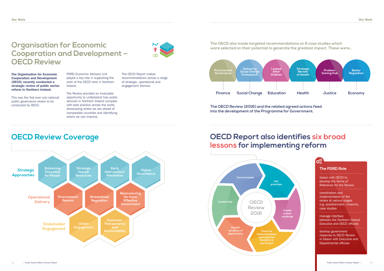### **Organisation for Economic Cooperation and Development – OECD Review**

The Organisation for Economic Cooperation and Development (OECD) recently conducted a strategic review of public sector reform in Northern Ireland.

This was the first ever sub-national public governance review to be conducted by OECD.

PSRD Economic Advisory Unit played a key role in supporting the work of the OECD here in Northern Ireland.

The Review provided an invaluable opportunity to understand how public services in Northern Ireland compare with best practice across the world, showcasing where we are ahead of comparable countries and identifying where we can improve.



 $\mathbf{Q}_{\alpha}^{\mathbf{Q}}$ 

The OECD Report makes recommendations across a range of strategic, operational and engagement themes.

 $\bullet$ 

### **The PSRD Role**

liaison with OECD to develop the Terms of Reference for the Review

coordination and implementation of the review at various stages e.g. questionnaire, missions, case studies

manage interface between the Northern Ireland Executive and OECD officials

develop government response to OECD Review in liaison with Executive and Departmental officials

**The OECD also made targeted recommendations on 6 case studies which were selected on their potential to generate the greatest impact. These were…**

**The OECD Review (2016) and the related agreed actions feed into the development of the Programme for Government.** 

### **OECD Report also identifies six broad lessons for implementing reform**

## **OECD Review Coverage**



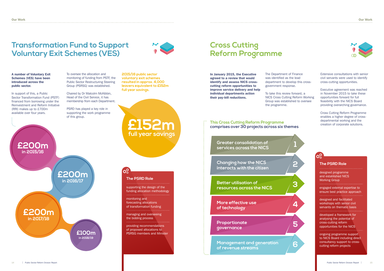### **Transformation Fund to Support Voluntary Exit Schemes (VES)**

#### A number of Voluntary Exit Schemes (VES) have been introduced across the public sector.

In support of this, a Public Sector Transformation Fund (PSTF) financed from borrowing under the Reinvestment and Reform Initiative (RRI) makes up to £700m available over four years.

To oversee the allocation and monitoring of funding from PSTF, the Public Sector Restructuring Steering Group (PSRSG) was established.

Chaired by Dr Malcolm McKibbin, Head of the Civil Service, it has membership from each Department.

PSRD has played a key role in supporting the work programme of this group.

### **The PSRD Role**

supporting the design of the funding allocation methodology

monitoring and forecasting allocations of transformation funding

managing and overseeing the bidding process

providing recommendations of proposed allocations to PSRSG members and Minister



In January 2015, the Executive agreed to a review that would identify and assess NICS crosscutting reform opportunities to improve service delivery and help individual departments action their pay-bill reductions.

The Department of Finance was identified as the lead department to develop this crossgovernment response.

To take this review forward, a NICS Cross Cutting Reform Working Group was established to oversee the programme.

Extensive consultations with senior civil servants were used to identify cross-cutting opportunities.

Executive agreement was reached in November 2015 to take these opportunities forward for full feasibility with the NICS Board providing overarching governance.

Cross Cutting Reform Programme enables a higher degree of crossdepartmental working and the creation of corporate solutions.

### **The PSRD Role**

 $\mathbf{Q}_{\alpha}^{\mathbf{Q}}$ 

designed programme and established NICS Working Group

engaged external expertise to ensure best practice approach

designed and facilitated workshops with senior civil servants on thematic basis

developed a framework for analysing the potential of cross-cutting reform opportunities for the NICS

ongoing programme support to NICS Board including direct consultancy support to crosscutting reform projects

### **Cross Cutting Reform Programme**

**2015/16 public sector voluntary exit schemes resulted in approx. 4,000 leavers equivalent to £152m full year savings.**

**£200m in 2015/16**



**Greater consolidation of services across the NICS** 

**Changing how the NICS interacts with the citizen** 

**Better utilisation of resources across the NICS** 

**More effective use of technology** 

**Proportionate governance**

**Management and generation of revenue streams** 

### **This Cross Cutting Reform Programme comprises over 30 projects across six themes**



**C**C

**£152m**



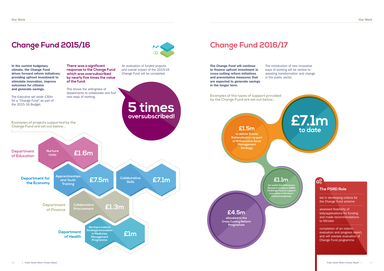### **Change Fund 2016/17**

The Change Fund will continue to finance upfront investment in cross-cutting reform initiatives and preventative measures that are expected to generate savings in the longer term.

The introduction of new innovative ways of working will be central to in the public sector.

assisting transformation and change

### **The PSRD Role**

led in developing criteria for the Change Fund scheme

assessed feasibility of bids/applications for funding and made recommendations to Minister

completion of an interim evaluation and progress report, and will oversee evaluation of Change Fund programme

## **Change Fund 2015/16**



In the current budgetary climate, the Change Fund drives forward reform initiatives; providing upfront investment to stimulate innovation, improve outcomes for citizens

**There was a significant response to the Change Fund which was oversubscribed by nearly five times the value of the fund.** 

An evaluation of funded projects and overall impact of the 2015/16 Change Fund will be completed.





**to deliver Estate Rationalisation as part of NI Executive Asset Management Strategy** 

### **£4.5m allocated to the**

**Cross Cutting Reform Programme** 

**£1.1m**

**for a pilot Small Business Research Initiative (SBRI) Challenge Fund to support innovation in Northern Ireland companies**



**Examples of the types of support provided by the Change Fund are set out below...**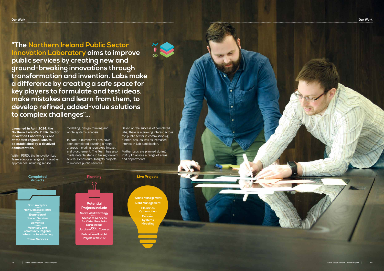**"The Northern Ireland Public Sector Innovation Laboratory aims to improve public services by creating new and ground-breaking innovations through transformation and invention. Labs make a difference by creating a safe space for key players to formulate and test ideas, make mistakes and learn from them, to develop refined, added-value solutions to complex challenges"…**

Launched in April 2014, the Northern Ireland's Public Sector Innovation Laboratory is one of the first regional labs to be established by a devolved administration.

Within PSRD, the Innovation Lab Team adopts a range of innovative approaches including service

modelling, design thinking and whole systems analysis.

To date, a number of Labs have been completed covering a range of areas including regulatory impact and procurement. The Team has also made notable steps in taking forward several Behavioural Insights projects to improve public services.

Based on the success of completed labs, there is a growing interest across the public sector in commissioning further Labs, as well as increased interest in Lab participation.

Further Labs are planned during 2016/17 across a range of areas and departments.



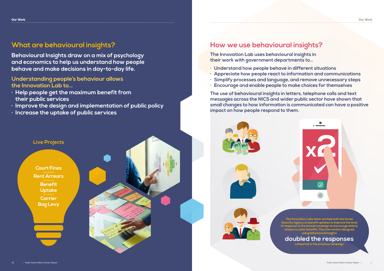![](_page_10_Picture_23.jpeg)

**The Innovation Labs team worked with the Social Security Agency on benefit uptakes to improve the level of response to the annual campaign to encourage elderly citizens to claim benefits. The intervention designed using behavioural insights** 

### **doubled the responses**

**compared to the previous campaign**

### **What are behavioural insights?**

**Behavioural Insights draw on a mix of psychology and economics to help us understand how people behave and make decisions in day-to-day life.**

**Understanding people's behaviour allows the Innovation Lab to…** 

- **· Help people get the maximum benefit from their public services**
- **· Improve the design and implementation of public policy**
- **· Increase the uptake of public services**

### **How we use behavioural insights?**

**The Innovation Lab uses behavioural insights in their work with government departments to…** 

- **· Understand how people behave in different situations**
- **· Appreciate how people react to information and communications**
- **· Simplify processes and language, and remove unnecessary steps**
- **· Encourage and enable people to make choices for themselves**

**The use of behavioural insights in letters, telephone calls and text messages across the NICS and wider public sector have shown that small changes to how information is communicated can have a positive impact on how people respond to them.**

![](_page_10_Picture_14.jpeg)

![](_page_10_Picture_15.jpeg)

![](_page_10_Picture_16.jpeg)

**Live Projects**

**Court Fines Rent Arrears Benefit Uptake Carrier Bag Levy**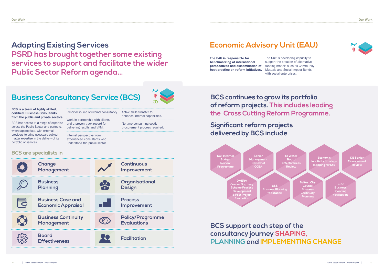## **BCS are specialists in**

#### BCS is a team of highly skilled, certified, Business Consultants from the public and private sectors.

BCS has access to a range of expertise across the Public Sector and partners, where appropriate, with external providers to bring necessary subject matter expertise in the delivery of its portfolio of services.

### Principal source of internal consultancy. Work in partnership with clients

and a proven track record for delivering results and VFM.

Internal perspective from experienced consultants who understand the public sector ത

Active skills transfer to enhance internal capabilities.

No time consuming costly procurement process required.

## **Business Consultancy Service (BCS)**

**Adapting Existing Services PSRD has brought together some existing services to support and facilitate the wider Public Sector Reform agenda…**

> **Economi Inactivity Strategy mapping for DfE**

The EAU is responsible for benchmarking of international perspectives and dissemination of best practice on reform initiatives.

The Unit is developing capacity to support the creation of alternative funding models such as Community Mutuals and Social Impact Bonds with social enterprises.

## **Economic Advisory Unit (EAU)**

### **BCS continues to grow its portfolio of reform projects. This includes leading the Cross Cutting Reform Programme.**

**Significant reform projects** 

**delivered by BCS include**

**BCS support each step of the consultancy journey SHAPING, PLANNING and IMPLEMENTING CHANGE**

**DoF Internal Budget Review Programme**

**Senior Management Review of CCEA**

**NI Water Board Effectiveness Review**

**DE Senior Management Review**

**DAERA**  C<mark>arrier Bag Le</mark>v **Scheme Process** 

**Development & Post Project Evaluation facilitation**

**ESS Business Planning**  **Belfast City Council Business Continuity Planning**

**CPD Business Planning facilitation**

![](_page_11_Figure_15.jpeg)

**Board** 

![](_page_11_Picture_20.jpeg)

**Effectiveness Facilitation**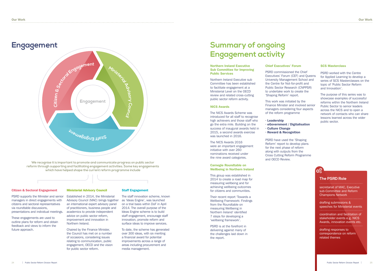#### Citizen & Sectoral Engagement

PSRD supports the Minister and senior managers in direct engagements with citizens and sectoral representatives via roundtable discussions, presentations and individual meetings.

These engagements are used to outline plans for reform and obtain feedback and views to inform the future approach.

#### Ministerial Advisory Council

Established in 2014, the Ministerial Advisory Council (MAC) brings together an international expert advisory panel of practitioners, business people and academics to provide independent advice on public sector reform, improvement and innovation in Northern Ireland.

Chaired by the Finance Minister, the Council has met on a number of occasions, considering issues relating to communication, public engagement, OECD and the vision for public sector reform.

#### Staff Engagement

The staff innovation scheme, known as 'Ideas Engine', was launched on a trial basis within DoF in April 2014. The overall purpose of the Ideas Engine scheme is to build staff engagement, encourage staff innovation, promote reform and surface ideas to improve services.

To date, the scheme has generated over 300 ideas, with six meriting a financial award for potential improvements across a range of areas including procurement and media management.

### **Engagement**

**We recognise it is important to promote and communicate progress on public sector reform through supporting and facilitating engagement activities. Some key engagements which have helped shape the current reform programme include**

### 

### **Summary of ongoing Engagement activity**

#### Northern Ireland Executive Sub Committee for Improving Public Services

Northern Ireland Executive sub Committee has been established to facilitate engagement at a Ministerial Level on the OECD review and related cross-cutting public sector reform activity.

#### NICS Awards

The NICS Awards Scheme was introduced for all staff to recognise high achievers and those staff who go the extra mile. Building on the success of inaugural awards held in 2015, a second awards exercise was launched in 2016.

The NICS Awards 2016 were an important engagement initiative with over 260 nominations received under the nine award categories.

#### Carnegie Roundtable on Wellbeing in Northern Ireland

This group was established in 2014 to create a road map for measuring wellbeing and for achieving wellbeing outcomes for citizens and communities.

Their recent report 'Towards a Wellbeing Framework: Findings from the Roundtable on measuring Wellbeing in Northern Ireland' identified 7 steps for developing a 'wellbeing framework'.

PSRD is at the forefront in delivering against many of the challenges laid down in the report.

#### Chief Executives' Forum

PSRD commissioned the Chief Executives' Forum (CEF) and Queens University Management School and the Centre for Not-for-profit and Public Sector Research (CNPPSR) to undertake work to create the 'Shaping Reform' report.

This work was initiated by the Finance Minister and involved senior managers considering four aspects of the reform programme

· Leadership

### · eGovernment / Digitalisation · Reward & Recognition

- 
- · Culture Change

PSRD have used the 'Shaping Reform' report to develop plans for the next phase of reform along with outputs from the Cross Cutting Reform Programme and OECD Review.

#### SCS Masterclass

PSRD worked with the Centre for Applied Learning to develop a series of SCS Masterclasses on the topic of 'Public Sector Reform and Innovation'.

The purpose of this series was to showcase examples of successful reforms within the Northern Ireland Public Sector to senior leaders across the NICS and to open a network of contacts who can share lessons learned across the wider public sector.

![](_page_12_Picture_39.jpeg)

![](_page_12_Figure_2.jpeg)

### **The PSRD Role**

secretariat of MAC, Executive sub-Committee and Reform Champions Network

drafting submissions & speeches for Ministerial events

coordination and facilitation of stakeholder events e.g. NICS Awards, innovation events etc.

drafting responses to correspondence on reform related themes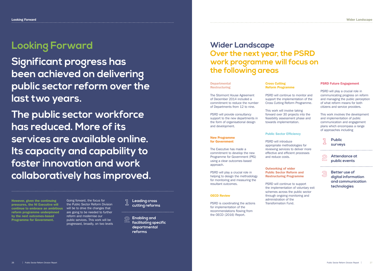## **Looking Forward**

**Significant progress has been achieved on delivering public sector reform over the last two years.** 

**The public sector workforce has reduced. More of its services are available online. Its capacity and capability to foster innovation and work collaboratively has improved.** The Stormont House Agreement of December 2014 included a commitment to reduce the number of Departments from 12 to nine.

PSRD will provide consultancy support to the new departments in the form of organisational design and development.

New Programme

### for Government

The Executive has made a commitment to develop the new Programme for Government (PfG) using a clear outcomes-based approach.

PSRD will play a crucial role in helping to design the methodology for monitoring and measuring the resultant outcomes.

#### OECD Review

PSRD is coordinating the actions for implementation of the recommendations flowing from the OECD (2016) Report.

Cross Cutting Reform Programme

PSRD will continue to monitor and support the implementation of the Cross Cutting Reform Programme.

### forward over 30 projects into the

This work will involve taking feasibility assessment phase and towards implementation.

#### Public Sector Efficiency

PSRD will introduce appropriate methodologies for reviewing services to deliver more effective and efficient processes

and reduce costs.

Outworking of wider Public Sector Reform and Restructuring Programme

PSRD will continue to support the implementation of voluntary exit schemes across the public sector through ongoing monitoring and administration of the Transformation Fund.

#### PSRD Future Engagement

PSRD will play a crucial role in communicating progress on reform and managing the public perception of what reform means for both citizens and service providers.

This work involves the development and implementation of public communication and engagement plans which encompass a range of approaches including

### **Wider Landscape Over the next year, the PSRD work programme will focus on the following areas**

#### **Departmental Restructuring**

### **Public surveys 1**

![](_page_13_Picture_34.jpeg)

**2 Attendance at public events**

![](_page_13_Picture_36.jpeg)

However, given the continuing pressures, the NI Executive will continue to embrace an ambitious will be to drive the changes that reform programme underpinned by the next outcomes-based Programme for Government.

Going forward, the focus for the Public Sector Reform Division are going to be needed to further reform and modernise our public services. This work will be progressed, broadly, on two levels **Leading cross cutting reforms**

**Enabling and facilitating specific departmental reforms**

**Better use of digital information and communication technologies**